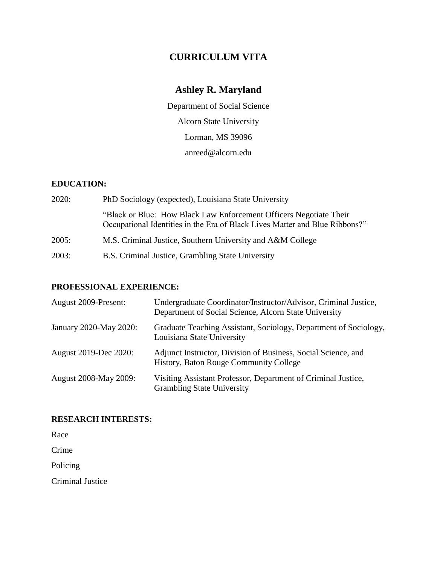## **CURRICULUM VITA**

# **Ashley R. Maryland**

Department of Social Science Alcorn State University Lorman, MS 39096 [anreed@alcorn.edu](mailto:anreed@alcorn.edu)

## **EDUCATION:**

| 2020: | PhD Sociology (expected), Louisiana State University                                                                                              |  |  |
|-------|---------------------------------------------------------------------------------------------------------------------------------------------------|--|--|
|       | "Black or Blue: How Black Law Enforcement Officers Negotiate Their<br>Occupational Identities in the Era of Black Lives Matter and Blue Ribbons?" |  |  |
| 2005: | M.S. Criminal Justice, Southern University and A&M College                                                                                        |  |  |
| 2003: | B.S. Criminal Justice, Grambling State University                                                                                                 |  |  |

## **PROFESSIONAL EXPERIENCE:**

| August 2009-Present:         | Undergraduate Coordinator/Instructor/Advisor, Criminal Justice,<br>Department of Social Science, Alcorn State University |
|------------------------------|--------------------------------------------------------------------------------------------------------------------------|
| January 2020-May 2020:       | Graduate Teaching Assistant, Sociology, Department of Sociology,<br>Louisiana State University                           |
| August 2019-Dec 2020:        | Adjunct Instructor, Division of Business, Social Science, and<br>History, Baton Rouge Community College                  |
| <b>August 2008-May 2009:</b> | Visiting Assistant Professor, Department of Criminal Justice,<br><b>Grambling State University</b>                       |

## **RESEARCH INTERESTS:**

Race

Crime

Policing

Criminal Justice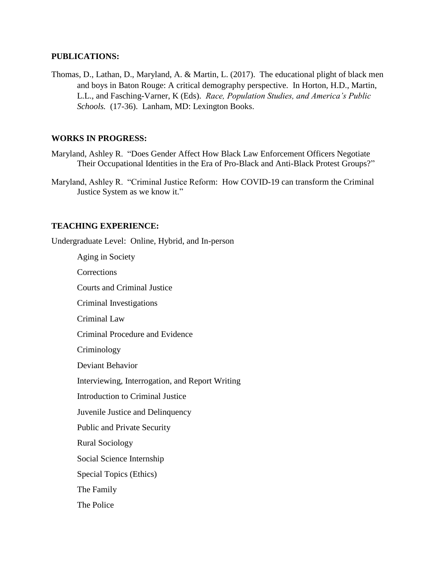#### **PUBLICATIONS:**

Thomas, D., Lathan, D., Maryland, A. & Martin, L. (2017). The educational plight of black men and boys in Baton Rouge: A critical demography perspective. In Horton, H.D., Martin, L.L., and Fasching-Varner, K (Eds). *Race, Population Studies, and America's Public Schools.* (17-36). Lanham, MD: Lexington Books.

## **WORKS IN PROGRESS:**

- Maryland, Ashley R. "Does Gender Affect How Black Law Enforcement Officers Negotiate Their Occupational Identities in the Era of Pro-Black and Anti-Black Protest Groups?"
- Maryland, Ashley R. "Criminal Justice Reform: How COVID-19 can transform the Criminal Justice System as we know it."

#### **TEACHING EXPERIENCE:**

Undergraduate Level: Online, Hybrid, and In-person

Aging in Society **Corrections** Courts and Criminal Justice Criminal Investigations Criminal Law Criminal Procedure and Evidence Criminology Deviant Behavior Interviewing, Interrogation, and Report Writing Introduction to Criminal Justice Juvenile Justice and Delinquency Public and Private Security Rural Sociology Social Science Internship Special Topics (Ethics) The Family The Police